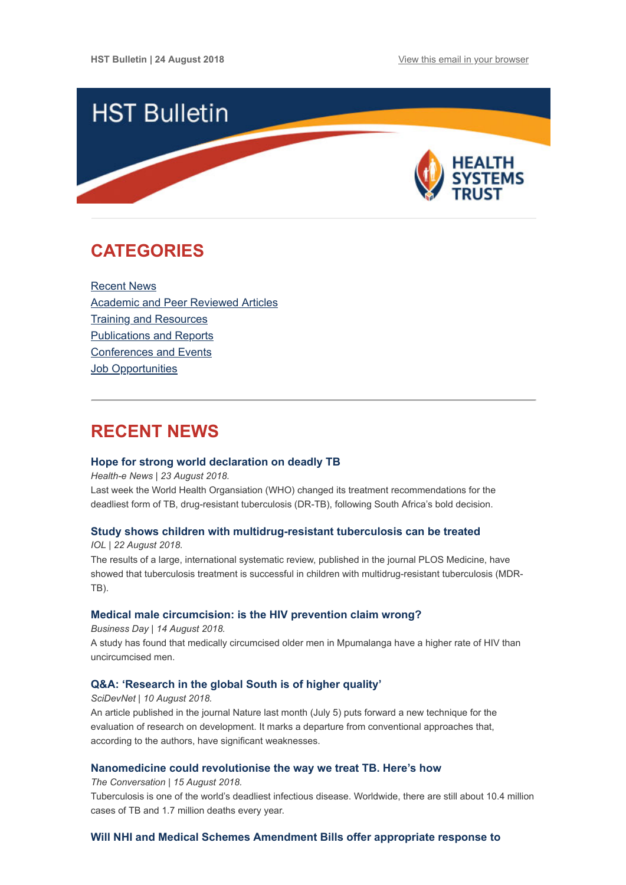

# <span id="page-0-1"></span>**CATEGORIES**

[Recent News](#page-0-0) [Academic and Peer Reviewed Articles](#page-1-0) [Training and Resources](#page-3-0) [Publications and Reports](#page-3-1) [Conferences and Events](#page-3-2) **Job Opportunities** 

## <span id="page-0-0"></span>**RECENT NEWS**

## **[Hope for strong world declaration on deadly TB](https://www.health-e.org.za/2018/08/23/hope-for-strong-world-declaration-on-deadly-tb/)**

*Health-e News | 23 August 2018.*

Last week the World Health Organsiation (WHO) changed its treatment recommendations for the deadliest form of TB, drug-resistant tuberculosis (DR-TB), following South Africa's bold decision.

## **[Study shows children with multidrug-resistant tuberculosis can be treated](https://www.iol.co.za/lifestyle/health/study-shows-children-with-multidrug-resistant-tuberculosis-can-be-treated-16682458)**

*IOL | 22 August 2018.*

The results of a large, international systematic review, published in the journal PLOS Medicine, have showed that tuberculosis treatment is successful in children with multidrug-resistant tuberculosis (MDR-TB).

## **[Medical male circumcision: is the HIV prevention claim wrong?](https://www.businesslive.co.za/bd/national/health/2018-08-14-medical-male-circumcision-is-the-hiv-prevention-claim-wrong/)**

*Business Day | 14 August 2018.* A study has found that medically circumcised older men in Mpumalanga have a higher rate of HIV than uncircumcised men.

## **[Q&A: 'Research in the global South is of higher quality'](https://www.scidev.net/global/r-d/news/q-a-research-in-the-global-south-is-of-higher-quality.html?utm_source=Global+Health+NOW+Main+List&utm_campaign=e90cc5a443-EMAIL_CAMPAIGN_2018_08_14_12_47&utm_medium=email&utm_term=0_8d0d062dbd-e90cc5a443-2811001)**

*SciDevNet | 10 August 2018.* An article published in the journal Nature last month (July 5) puts forward a new technique for the evaluation of research on development. It marks a departure from conventional approaches that, according to the authors, have significant weaknesses.

## **[Nanomedicine could revolutionise the way we treat TB. Here's how](https://theconversation.com/nanomedicine-could-revolutionise-the-way-we-treat-tb-heres-how-101262)**

*The Conversation | 15 August 2018.*

Tuberculosis is one of the world's deadliest infectious disease. Worldwide, there are still about 10.4 million cases of TB and 1.7 million deaths every year.

## **[Will NHI and Medical Schemes Amendment Bills offer appropriate response to](https://www.dailymaverick.co.za/article/2018-08-22-will-nhi-and-medical-schemes-amendment-bills-offer-appropriate-response-to-healthcare-crisis/)**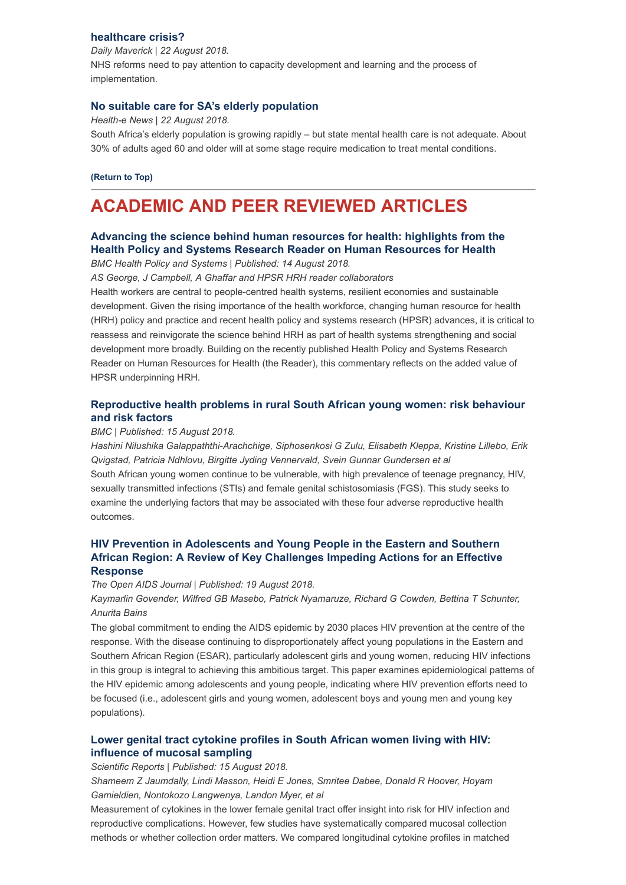## **[healthcare crisis?](https://www.dailymaverick.co.za/article/2018-08-22-will-nhi-and-medical-schemes-amendment-bills-offer-appropriate-response-to-healthcare-crisis/)**

*Daily Maverick | 22 August 2018.* NHS reforms need to pay attention to capacity development and learning and the process of implementation.

## **[No suitable care for SA's elderly population](https://www.health-e.org.za/2018/08/22/no-suitable-care-for-sas-elderly-population/)**

*Health-e News | 22 August 2018.* South Africa's elderly population is growing rapidly – but state mental health care is not adequate. About 30% of adults aged 60 and older will at some stage require medication to treat mental conditions.

#### **[\(Return to Top\)](#page-0-1)**

## <span id="page-1-0"></span>**ACADEMIC AND PEER REVIEWED ARTICLES**

## **[Advancing the science behind human resources for health: highlights from the](https://health-policy-systems.biomedcentral.com/articles/10.1186/s12961-018-0346-5) Health Policy and Systems Research Reader on Human Resources for Health**

*BMC Health Policy and Systems | Published: 14 August 2018.*

*AS George, J Campbell, A Ghaffar and HPSR HRH reader collaborators*

Health workers are central to people-centred health systems, resilient economies and sustainable development. Given the rising importance of the health workforce, changing human resource for health (HRH) policy and practice and recent health policy and systems research (HPSR) advances, it is critical to reassess and reinvigorate the science behind HRH as part of health systems strengthening and social development more broadly. Building on the recently published Health Policy and Systems Research Reader on Human Resources for Health (the Reader), this commentary reflects on the added value of HPSR underpinning HRH.

## **[Reproductive health problems in rural South African young women: risk behaviour](https://reproductive-health-journal.biomedcentral.com/articles/10.1186/s12978-018-0581-9) and risk factors**

#### *BMC | Published: 15 August 2018.*

*Hashini Nilushika Galappaththi-Arachchige, Siphosenkosi G Zulu, Elisabeth Kleppa, Kristine Lillebo, Erik Qvigstad, Patricia Ndhlovu, Birgitte Jyding Vennervald, Svein Gunnar Gundersen et al* South African young women continue to be vulnerable, with high prevalence of teenage pregnancy, HIV, sexually transmitted infections (STIs) and female genital schistosomiasis (FGS). This study seeks to examine the underlying factors that may be associated with these four adverse reproductive health outcomes.

## **HIV Prevention in Adolescents and Young People in the Eastern and Southern [African Region: A Review of Key Challenges Impeding Actions for an Effective](https://benthamopen.com/FULLTEXT/TOAIDJ-12-53) Response**

#### *The Open AIDS Journal | Published: 19 August 2018.*

*Kaymarlin Govender, Wilfred GB Masebo, Patrick Nyamaruze, Richard G Cowden, Bettina T Schunter, Anurita Bains*

The global commitment to ending the AIDS epidemic by 2030 places HIV prevention at the centre of the response. With the disease continuing to disproportionately affect young populations in the Eastern and Southern African Region (ESAR), particularly adolescent girls and young women, reducing HIV infections in this group is integral to achieving this ambitious target. This paper examines epidemiological patterns of the HIV epidemic among adolescents and young people, indicating where HIV prevention efforts need to be focused (i.e., adolescent girls and young women, adolescent boys and young men and young key populations).

## **[Lower genital tract cytokine profiles in South African women living with HIV:](https://www.nature.com/articles/s41598-018-30663-8) influence of mucosal sampling**

#### *Scientific Reports | Published: 15 August 2018.*

*Shameem Z Jaumdally, Lindi Masson, Heidi E Jones, Smritee Dabee, Donald R Hoover, Hoyam Gamieldien, Nontokozo Langwenya, Landon Myer, et al*

Measurement of cytokines in the lower female genital tract offer insight into risk for HIV infection and reproductive complications. However, few studies have systematically compared mucosal collection methods or whether collection order matters. We compared longitudinal cytokine profiles in matched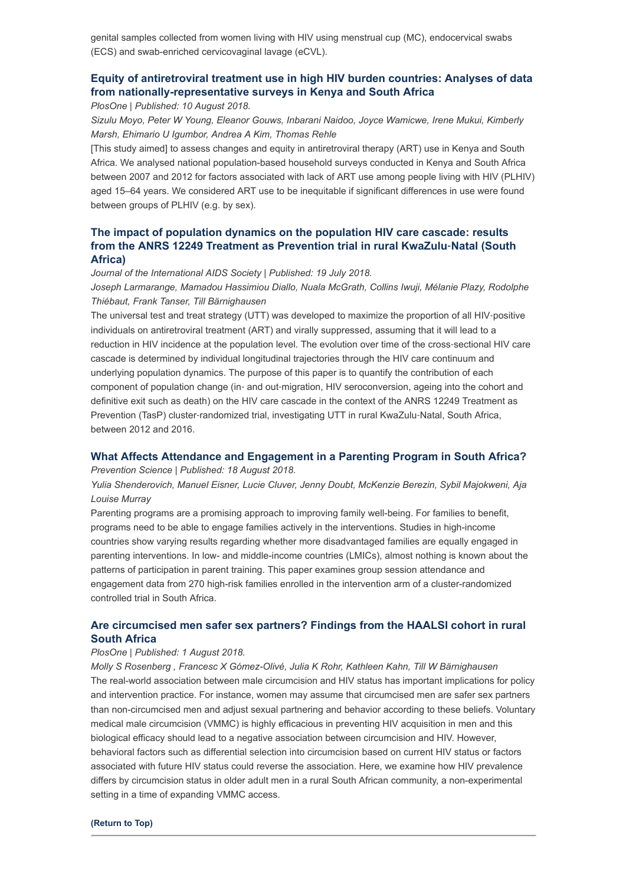genital samples collected from women living with HIV using menstrual cup (MC), endocervical swabs (ECS) and swab-enriched cervicovaginal lavage (eCVL).

## **[Equity of antiretroviral treatment use in high HIV burden countries: Analyses of data](http://journals.plos.org/plosone/article?id=10.1371/journal.pone.0201899#abstract0) from nationally-representative surveys in Kenya and South Africa**

*PlosOne | Published: 10 August 2018.*

*Sizulu Moyo, Peter W Young, Eleanor Gouws, Inbarani Naidoo, Joyce Wamicwe, Irene Mukui, Kimberly Marsh, Ehimario U Igumbor, Andrea A Kim, Thomas Rehle*

[This study aimed] to assess changes and equity in antiretroviral therapy (ART) use in Kenya and South Africa. We analysed national population-based household surveys conducted in Kenya and South Africa between 2007 and 2012 for factors associated with lack of ART use among people living with HIV (PLHIV) aged 15–64 years. We considered ART use to be inequitable if significant differences in use were found between groups of PLHIV (e.g. by sex).

## **[The impact of population dynamics on the population HIV care cascade: results](https://onlinelibrary.wiley.com/doi/full/10.1002/jia2.25128) from the ANRS 12249 Treatment as Prevention trial in rural KwaZulu**‐**Natal (South Africa)**

*Journal of the International AIDS Society | Published: 19 July 2018.*

*Joseph Larmarange, Mamadou Hassimiou Diallo, Nuala McGrath, Collins Iwuji, Mélanie Plazy, Rodolphe Thiébaut, Frank Tanser, Till Bärnighausen*

The universal test and treat strategy (UTT) was developed to maximize the proportion of all HIV‐positive individuals on antiretroviral treatment (ART) and virally suppressed, assuming that it will lead to a reduction in HIV incidence at the population level. The evolution over time of the cross‐sectional HIV care cascade is determined by individual longitudinal trajectories through the HIV care continuum and underlying population dynamics. The purpose of this paper is to quantify the contribution of each component of population change (in‐ and out‐migration, HIV seroconversion, ageing into the cohort and definitive exit such as death) on the HIV care cascade in the context of the ANRS 12249 Treatment as Prevention (TasP) cluster-randomized trial, investigating UTT in rural KwaZulu-Natal, South Africa, between 2012 and 2016.

## **[What Affects Attendance and Engagement in a Parenting Program in South Africa?](https://link.springer.com/article/10.1007%2Fs11121-018-0941-2)**

*Prevention Science | Published: 18 August 2018.*

*Yulia Shenderovich, Manuel Eisner, Lucie Cluver, Jenny Doubt, McKenzie Berezin, Sybil Majokweni, Aja Louise Murray*

Parenting programs are a promising approach to improving family well-being. For families to benefit, programs need to be able to engage families actively in the interventions. Studies in high-income countries show varying results regarding whether more disadvantaged families are equally engaged in parenting interventions. In low- and middle-income countries (LMICs), almost nothing is known about the patterns of participation in parent training. This paper examines group session attendance and engagement data from 270 high-risk families enrolled in the intervention arm of a cluster-randomized controlled trial in South Africa.

## **[Are circumcised men safer sex partners? Findings from the HAALSI cohort in rural](http://journals.plos.org/plosone/article?id=10.1371/journal.pone.0201445) South Africa**

#### *PlosOne | Published: 1 August 2018.*

*Molly S Rosenberg , Francesc X Gómez-Olivé, Julia K Rohr, Kathleen Kahn, Till W Bärnighausen* The real-world association between male circumcision and HIV status has important implications for policy and intervention practice. For instance, women may assume that circumcised men are safer sex partners than non-circumcised men and adjust sexual partnering and behavior according to these beliefs. Voluntary medical male circumcision (VMMC) is highly efficacious in preventing HIV acquisition in men and this biological efficacy should lead to a negative association between circumcision and HIV. However, behavioral factors such as differential selection into circumcision based on current HIV status or factors associated with future HIV status could reverse the association. Here, we examine how HIV prevalence differs by circumcision status in older adult men in a rural South African community, a non-experimental setting in a time of expanding VMMC access.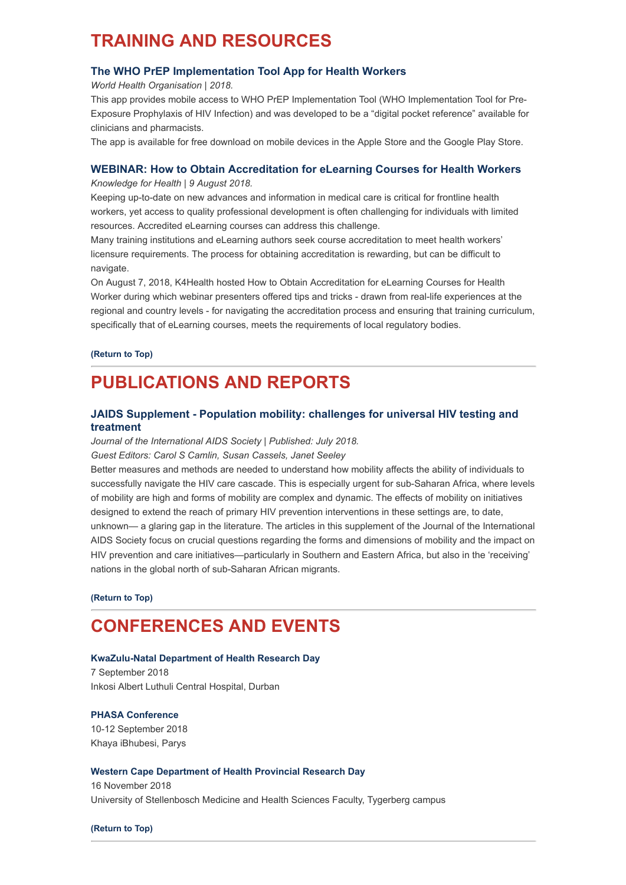# <span id="page-3-0"></span>**TRAINING AND RESOURCES**

## **[The WHO PrEP Implementation Tool App for Health Workers](https://hivoralprep.org/#app)**

*World Health Organisation | 2018.*

This app provides mobile access to WHO PrEP Implementation Tool (WHO Implementation Tool for Pre-Exposure Prophylaxis of HIV Infection) and was developed to be a "digital pocket reference" available for clinicians and pharmacists.

The app is available for free download on mobile devices in the Apple Store and the Google Play Store.

## **[WEBINAR: How to Obtain Accreditation for eLearning Courses for Health Workers](https://www.k4health.org/blog/post/webinar-how-obtain-accreditation-elearning-courses-health-workers?utm_source=Webinar%20registrants%20for%20GHeL%20Course%20Accred&utm_campaign=36775adf61-EMAIL_CAMPAIGN_2018_08_09_06_03&utm_medium=email&utm_term=0_a05296e769-36775adf61-27381321%20)**

*Knowledge for Health | 9 August 2018.*

Keeping up-to-date on new advances and information in medical care is critical for frontline health workers, yet access to quality professional development is often challenging for individuals with limited resources. Accredited eLearning courses can address this challenge.

Many training institutions and eLearning authors seek course accreditation to meet health workers' licensure requirements. The process for obtaining accreditation is rewarding, but can be difficult to navigate.

On August 7, 2018, K4Health hosted How to Obtain Accreditation for eLearning Courses for Health Worker during which webinar presenters offered tips and tricks - drawn from real-life experiences at the regional and country levels - for navigating the accreditation process and ensuring that training curriculum, specifically that of eLearning courses, meets the requirements of local regulatory bodies.

**[\(Return to Top\)](#page-0-1)**

# <span id="page-3-1"></span>**PUBLICATIONS AND REPORTS**

## **[JAIDS Supplement - Population mobility: challenges for universal HIV testing and](https://onlinelibrary.wiley.com/toc/17582652/2018/21/S4) treatment**

*Journal of the International AIDS Society | Published: July 2018. Guest Editors: Carol S Camlin, Susan Cassels, Janet Seeley*

Better measures and methods are needed to understand how mobility affects the ability of individuals to successfully navigate the HIV care cascade. This is especially urgent for sub-Saharan Africa, where levels of mobility are high and forms of mobility are complex and dynamic. The effects of mobility on initiatives designed to extend the reach of primary HIV prevention interventions in these settings are, to date, unknown— a glaring gap in the literature. The articles in this supplement of the Journal of the International AIDS Society focus on crucial questions regarding the forms and dimensions of mobility and the impact on HIV prevention and care initiatives—particularly in Southern and Eastern Africa, but also in the 'receiving' nations in the global north of sub-Saharan African migrants.

**[\(Return to Top\)](#page-0-1)**

# <span id="page-3-2"></span>**CONFERENCES AND EVENTS**

## **[KwaZulu-Natal Department of Health Research Day](http://www.hst.org.za/Lists/HST%20Events/DispForm.aspx?ID=31)**

7 September 2018 Inkosi Albert Luthuli Central Hospital, Durban

## **[PHASA Conference](https://confco.eventsair.com/QuickEventWebsitePortal/phasa-conference-2018/event-info-site)**

10-12 September 2018 Khaya iBhubesi, Parys

## **[Western Cape Department of Health Provincial Research Day](http://researchfhs@sun.ac.za/)**

16 November 2018 University of Stellenbosch Medicine and Health Sciences Faculty, Tygerberg campus

**[\(Return to Top\)](#page-0-1)**